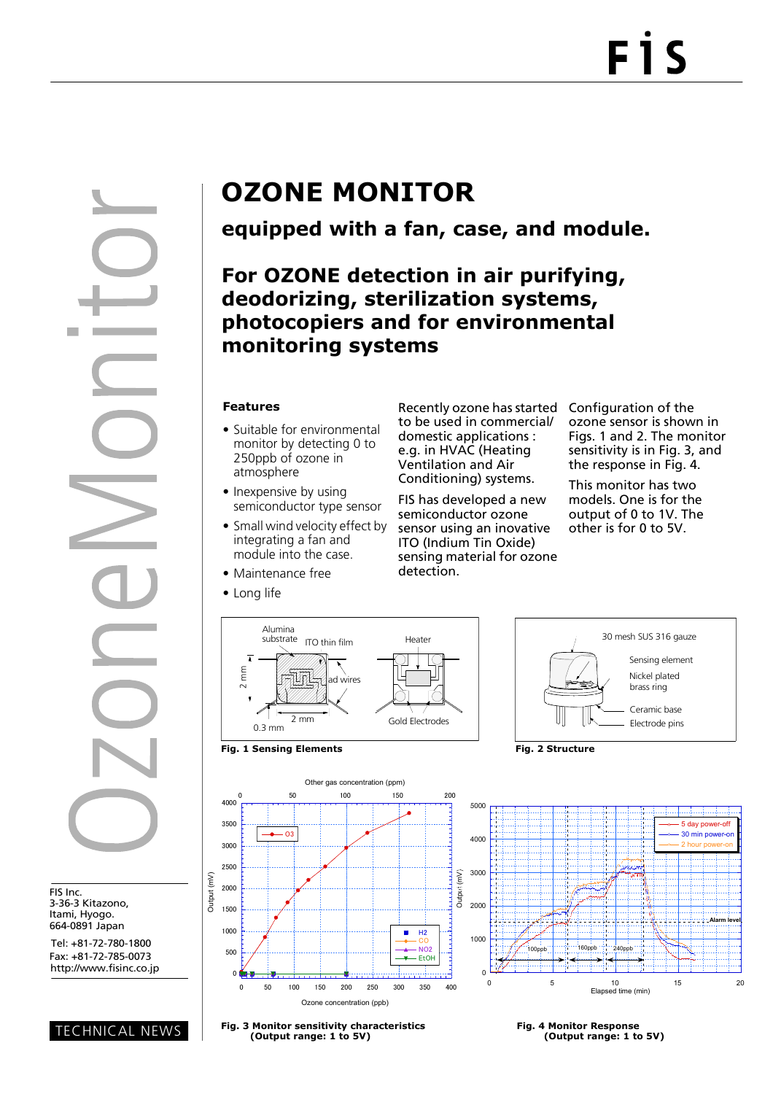FIS Inc. 3-36-3 Kitazono, Itami, Hyogo. 664-0891 Japan

Tel: +81-72-780-1800 Fax: +81-72-785-0073

TECHNICAL NEWS

# **OZONE MONITOR**

## **equipped with a fan, case, and module.**

### **For OZONE detection in air purifying, deodorizing, sterilization systems, photocopiers and for environmental monitoring systems**

#### **Features**

- Suitable for environmental monitor by detecting 0 to 250ppb of ozone in atmosphere
- Inexpensive by using semiconductor type sensor
- Small wind velocity effect by integrating a fan and module into the case.
- Maintenance free
- Long life

Recently ozone has started to be used in commercial/ domestic applications : e.g. in HVAC (Heating Ventilation and Air Conditioning) systems.

FIS has developed a new semiconductor ozone sensor using an inovative ITO (Indium Tin Oxide) sensing material for ozone detection.

Configuration of the ozone sensor is shown in Figs. 1 and 2. The monitor sensitivity is in Fig. 3, and the response in Fig. 4.

This monitor has two models. One is for the output of 0 to 1V. The other is for 0 to 5V.













**Fig. 3 Monitor sensitivity characteristics Fig. 4 Monitor Response (Output range: 1 to 5V) (Output range: 1 to 5V)**